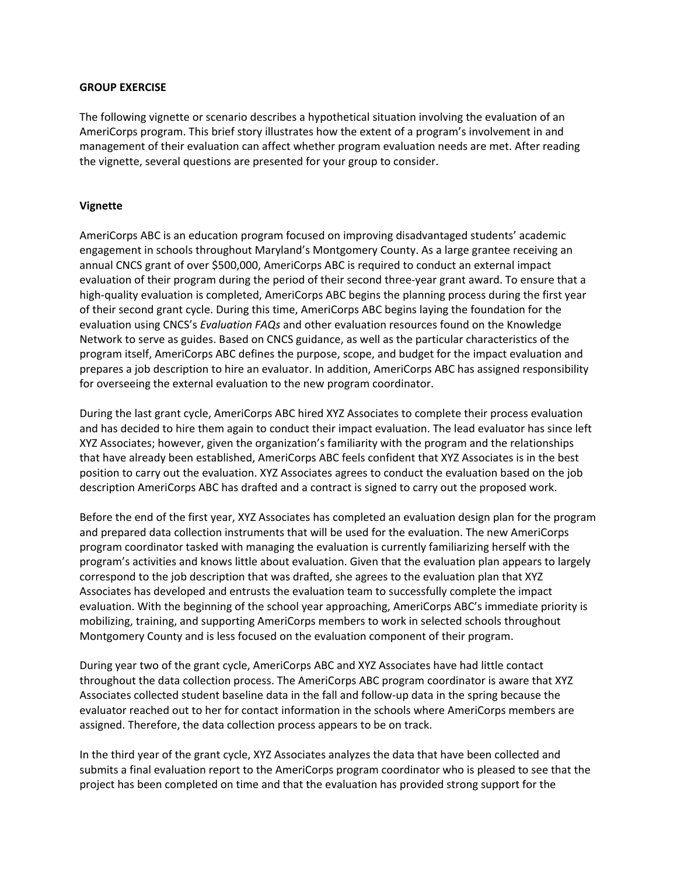## **GROUP EXERCISE**

The following vignette or scenario describes a hypothetical situation involving the evaluation of an AmeriCorps program. This brief story illustrates how the extent of a program's involvement in and management of their evaluation can affect whether program evaluation needs are met. After reading the vignette, several questions are presented for your group to consider.

## **Vignette**

AmeriCorps ABC is an education program focused on improving disadvantaged students' academic engagement in schools throughout Maryland's Montgomery County. As a large grantee receiving an annual CNCS grant of over \$500,000, AmeriCorps ABC is required to conduct an external impact evaluation of their program during the period of their second three-year grant award. To ensure that a high-quality evaluation is completed, AmeriCorps ABC begins the planning process during the first year of their second grant cycle. During this time, AmeriCorps ABC begins laying the foundation for the evaluation using CNCS's *Evaluation FAQs* and other evaluation resources found on the Knowledge Network to serve as guides. Based on CNCS guidance, as well as the particular characteristics of the program itself, AmeriCorps ABC defines the purpose, scope, and budget for the impact evaluation and prepares a job description to hire an evaluator. In addition, AmeriCorps ABC has assigned responsibility for overseeing the external evaluation to the new program coordinator.

During the last grant cycle, AmeriCorps ABC hired XYZ Associates to complete their process evaluation and has decided to hire them again to conduct their impact evaluation. The lead evaluator has since left XYZ Associates; however, given the organization's familiarity with the program and the relationships that have already been established, AmeriCorps ABC feels confident that XYZ Associates is in the best position to carry out the evaluation. XYZ Associates agrees to conduct the evaluation based on the job description AmeriCorps ABC has drafted and a contract is signed to carry out the proposed work.

Before the end of the first year, XYZ Associates has completed an evaluation design plan for the program and prepared data collection instruments that will be used for the evaluation. The new AmeriCorps program coordinator tasked with managing the evaluation is currently familiarizing herself with the program's activities and knows little about evaluation. Given that the evaluation plan appears to largely correspond to the job description that was drafted, she agrees to the evaluation plan that XYZ Associates has developed and entrusts the evaluation team to successfully complete the impact evaluation. With the beginning of the school year approaching, AmeriCorps ABC's immediate priority is mobilizing, training, and supporting AmeriCorps members to work in selected schools throughout Montgomery County and is less focused on the evaluation component of their program.

During year two of the grant cycle, AmeriCorps ABC and XYZ Associates have had little contact throughout the data collection process. The AmeriCorps ABC program coordinator is aware that XYZ Associates collected student baseline data in the fall and follow-up data in the spring because the evaluator reached out to her for contact information in the schools where AmeriCorps members are assigned. Therefore, the data collection process appears to be on track.

In the third year of the grant cycle, XYZ Associates analyzes the data that have been collected and submits a final evaluation report to the AmeriCorps program coordinator who is pleased to see that the project has been completed on time and that the evaluation has provided strong support for the